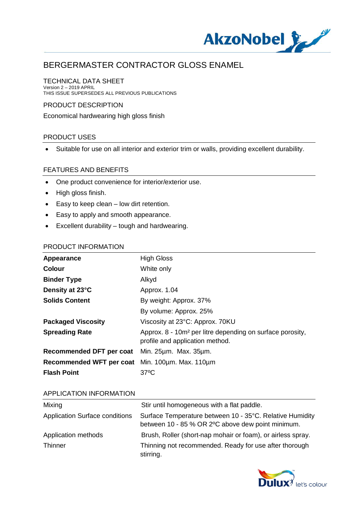

#### TECHNICAL DATA SHEET

Version 2 – 2019 APRIL THIS ISSUE SUPERSEDES ALL PREVIOUS PUBLICATIONS

### PRODUCT DESCRIPTION

Economical hardwearing high gloss finish

## PRODUCT USES

· Suitable for use on all interior and exterior trim or walls, providing excellent durability.

#### FEATURES AND BENEFITS

- · One product convenience for interior/exterior use.
- · High gloss finish.
- · Easy to keep clean low dirt retention.
- · Easy to apply and smooth appearance.
- · Excellent durability tough and hardwearing.

#### PRODUCT INFORMATION

| Appearance                                      | <b>High Gloss</b>                                                                                        |
|-------------------------------------------------|----------------------------------------------------------------------------------------------------------|
| <b>Colour</b>                                   | White only                                                                                               |
| <b>Binder Type</b>                              | Alkyd                                                                                                    |
| Density at 23°C                                 | Approx. 1.04                                                                                             |
| <b>Solids Content</b>                           | By weight: Approx. 37%                                                                                   |
|                                                 | By volume: Approx. 25%                                                                                   |
| <b>Packaged Viscosity</b>                       | Viscosity at 23°C: Approx. 70KU                                                                          |
| <b>Spreading Rate</b>                           | Approx. 8 - 10m <sup>2</sup> per litre depending on surface porosity,<br>profile and application method. |
| Recommended DFT per coat Min. 25um. Max. 35um.  |                                                                                                          |
| Recommended WFT per coat Min. 100um. Max. 110um |                                                                                                          |
| <b>Flash Point</b>                              | $37^{\circ}$ C                                                                                           |
|                                                 |                                                                                                          |

#### APPLICATION INFORMATION

| Mixing                                | Stir until homogeneous with a flat paddle.                                                                    |
|---------------------------------------|---------------------------------------------------------------------------------------------------------------|
| <b>Application Surface conditions</b> | Surface Temperature between 10 - 35°C. Relative Humidity<br>between 10 - 85 % OR 2°C above dew point minimum. |
| Application methods                   | Brush, Roller (short-nap mohair or foam), or airless spray.                                                   |
| Thinner                               | Thinning not recommended. Ready for use after thorough<br>stirring.                                           |

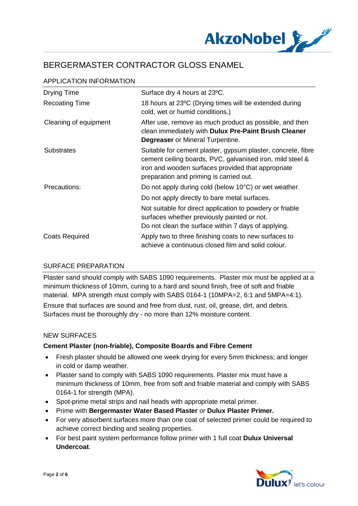

| <b>Drying Time</b>    | Surface dry 4 hours at 23°C.                                                                                                                                                                                               |
|-----------------------|----------------------------------------------------------------------------------------------------------------------------------------------------------------------------------------------------------------------------|
| <b>Recoating Time</b> | 18 hours at 23°C (Drying times will be extended during<br>cold, wet or humid conditions.)                                                                                                                                  |
| Cleaning of equipment | After use, remove as much product as possible, and then<br>clean immediately with Dulux Pre-Paint Brush Cleaner<br><b>Degreaser</b> or Mineral Turpentine.                                                                 |
| <b>Substrates</b>     | Suitable for cement plaster, gypsum plaster, concrete, fibre<br>cement ceiling boards, PVC, galvanised iron, mild steel &<br>iron and wooden surfaces provided that appropriate<br>preparation and priming is carried out. |
| Precautions:          | Do not apply during cold (below 10°C) or wet weather.<br>Do not apply directly to bare metal surfaces.<br>Not suitable for direct application to powdery or friable                                                        |
|                       | surfaces whether previously painted or not.<br>Do not clean the surface within 7 days of applying.                                                                                                                         |
| <b>Coats Required</b> | Apply two to three finishing coats to new surfaces to<br>achieve a continuous closed film and solid colour.                                                                                                                |

# APPLICATION INFORMATION

## SURFACE PREPARATION

Plaster sand should comply with SABS 1090 requirements. Plaster mix must be applied at a minimum thickness of 10mm, curing to a hard and sound finish, free of soft and friable material. MPA strength must comply with SABS 0164-1 (10MPA=2, 6:1 and 5MPA=4:1). Ensure that surfaces are sound and free from dust, rust, oil, grease, dirt, and debris. Surfaces must be thoroughly dry - no more than 12% moisture content.

#### NEW SURFACES

## **Cement Plaster (non-friable), Composite Boards and Fibre Cement**

- · Fresh plaster should be allowed one week drying for every 5mm thickness; and longer in cold or damp weather.
- · Plaster sand to comply with SABS 1090 requirements. Plaster mix must have a minimum thickness of 10mm, free from soft and friable material and comply with SABS 0164-1 for strength (MPA).
- · Spot-prime metal strips and nail heads with appropriate metal primer.
- · Prime with **Bergermaster Water Based Plaster** or **Dulux Plaster Primer.**
- · For very absorbent surfaces more than one coat of selected primer could be required to achieve correct binding and sealing properties.
- · For best paint system performance follow primer with 1 full coat **Dulux Universal Undercoat**.

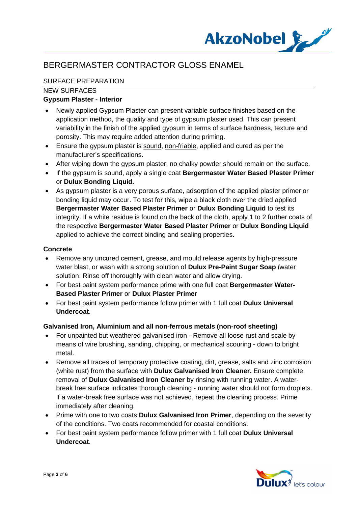

# SURFACE PREPARATION

## NEW SURFACES

## **Gypsum Plaster - Interior**

- · Newly applied Gypsum Plaster can present variable surface finishes based on the application method, the quality and type of gypsum plaster used. This can present variability in the finish of the applied gypsum in terms of surface hardness, texture and porosity. This may require added attention during priming.
- · Ensure the gypsum plaster is sound, non-friable, applied and cured as per the manufacturer's specifications.
- After wiping down the gypsum plaster, no chalky powder should remain on the surface.
- · If the gypsum is sound, apply a single coat **Bergermaster Water Based Plaster Primer** or **Dulux Bonding Liquid.**
- · As gypsum plaster is a very porous surface, adsorption of the applied plaster primer or bonding liquid may occur. To test for this, wipe a black cloth over the dried applied **Bergermaster Water Based Plaster Primer** or **Dulux Bonding Liquid** to test its integrity. If a white residue is found on the back of the cloth, apply 1 to 2 further coats of the respective **Bergermaster Water Based Plaster Primer** or **Dulux Bonding Liquid** applied to achieve the correct binding and sealing properties.

## **Concrete**

- · Remove any uncured cement, grease, and mould release agents by high-pressure water blast, or wash with a strong solution of **Dulux Pre-Paint Sugar Soap /**water solution. Rinse off thoroughly with clean water and allow drying.
- · For best paint system performance prime with one full coat **Bergermaster Water-Based Plaster Primer** or **Dulux Plaster Primer**
- · For best paint system performance follow primer with 1 full coat **Dulux Universal Undercoat**.

#### **Galvanised Iron, Aluminium and all non-ferrous metals (non-roof sheeting)**

- · For unpainted but weathered galvanised iron Remove all loose rust and scale by means of wire brushing, sanding, chipping, or mechanical scouring - down to bright metal.
- · Remove all traces of temporary protective coating, dirt, grease, salts and zinc corrosion (white rust) from the surface with **Dulux Galvanised Iron Cleaner.** Ensure complete removal of **Dulux Galvanised Iron Cleaner** by rinsing with running water. A waterbreak free surface indicates thorough cleaning - running water should not form droplets. If a water-break free surface was not achieved, repeat the cleaning process. Prime immediately after cleaning.
- · Prime with one to two coats **Dulux Galvanised Iron Primer**, depending on the severity of the conditions. Two coats recommended for coastal conditions.
- · For best paint system performance follow primer with 1 full coat **Dulux Universal Undercoat**.

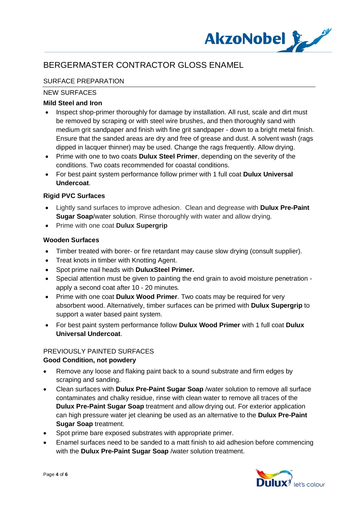

# SURFACE PREPARATION

## NEW SURFACES

## **Mild Steel and Iron**

- Inspect shop-primer thoroughly for damage by installation. All rust, scale and dirt must be removed by scraping or with steel wire brushes, and then thoroughly sand with medium grit sandpaper and finish with fine grit sandpaper - down to a bright metal finish. Ensure that the sanded areas are dry and free of grease and dust. A solvent wash (rags dipped in lacquer thinner) may be used. Change the rags frequently. Allow drying.
- · Prime with one to two coats **Dulux Steel Primer**, depending on the severity of the conditions. Two coats recommended for coastal conditions.
- · For best paint system performance follow primer with 1 full coat **Dulux Universal Undercoat**.

## **Rigid PVC Surfaces**

- · Lightly sand surfaces to improve adhesion. Clean and degrease with **Dulux Pre-Paint Sugar Soap**/water solution. Rinse thoroughly with water and allow drying.
- · Prime with one coat **Dulux Supergrip**

## **Wooden Surfaces**

- Timber treated with borer- or fire retardant may cause slow drying (consult supplier).
- · Treat knots in timber with Knotting Agent.
- · Spot prime nail heads with **DuluxSteel Primer.**
- · Special attention must be given to painting the end grain to avoid moisture penetration apply a second coat after 10 - 20 minutes.
- · Prime with one coat **Dulux Wood Primer**. Two coats may be required for very absorbent wood. Alternatively, timber surfaces can be primed with **Dulux Supergrip** to support a water based paint system.
- · For best paint system performance follow **Dulux Wood Primer** with 1 full coat **Dulux Universal Undercoat**.

# PREVIOUSLY PAINTED SURFACES

#### **Good Condition, not powdery**

- · Remove any loose and flaking paint back to a sound substrate and firm edges by scraping and sanding.
- · Clean surfaces with **Dulux Pre-Paint Sugar Soap** /water solution to remove all surface contaminates and chalky residue, rinse with clean water to remove all traces of the **Dulux Pre-Paint Sugar Soap** treatment and allow drying out. For exterior application can high pressure water jet cleaning be used as an alternative to the **Dulux Pre-Paint Sugar Soap** treatment.
- Spot prime bare exposed substrates with appropriate primer.
- · Enamel surfaces need to be sanded to a matt finish to aid adhesion before commencing with the **Dulux Pre-Paint Sugar Soap** /water solution treatment.

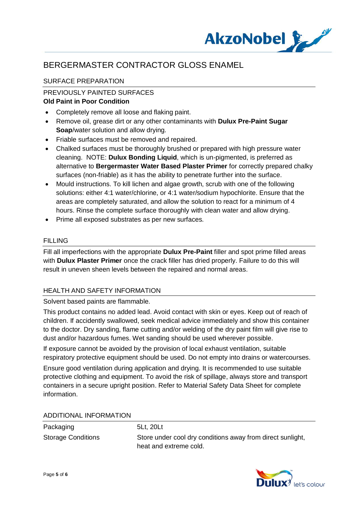

## SURFACE PREPARATION

# PREVIOUSLY PAINTED SURFACES

# **Old Paint in Poor Condition**

- · Completely remove all loose and flaking paint.
- · Remove oil, grease dirt or any other contaminants with **Dulux Pre-Paint Sugar Soap**/water solution and allow drying.
- · Friable surfaces must be removed and repaired.
- · Chalked surfaces must be thoroughly brushed or prepared with high pressure water cleaning. NOTE: **Dulux Bonding Liquid**, which is un-pigmented, is preferred as alternative to **Bergermaster Water Based Plaster Primer** for correctly prepared chalky surfaces (non-friable) as it has the ability to penetrate further into the surface.
- · Mould instructions. To kill lichen and algae growth, scrub with one of the following solutions: either 4:1 water/chlorine, or 4:1 water/sodium hypochlorite. Ensure that the areas are completely saturated, and allow the solution to react for a minimum of 4 hours. Rinse the complete surface thoroughly with clean water and allow drying.
- · Prime all exposed substrates as per new surfaces.

#### **FILLING**

Fill all imperfections with the appropriate **Dulux Pre-Paint** filler and spot prime filled areas with **Dulux Plaster Primer** once the crack filler has dried properly. Failure to do this will result in uneven sheen levels between the repaired and normal areas.

#### HEALTH AND SAFETY INFORMATION

#### Solvent based paints are flammable.

This product contains no added lead. Avoid contact with skin or eyes. Keep out of reach of children. If accidently swallowed, seek medical advice immediately and show this container to the doctor. Dry sanding, flame cutting and/or welding of the dry paint film will give rise to dust and/or hazardous fumes. Wet sanding should be used wherever possible.

If exposure cannot be avoided by the provision of local exhaust ventilation, suitable respiratory protective equipment should be used. Do not empty into drains or watercourses.

Ensure good ventilation during application and drying. It is recommended to use suitable protective clothing and equipment. To avoid the risk of spillage, always store and transport containers in a secure upright position. Refer to Material Safety Data Sheet for complete information.

#### ADDITIONAL INFORMATION

| Packaging |                    |
|-----------|--------------------|
|           | $Otrans \cap real$ |

5Lt, 20Lt

Storage Conditions Store under cool dry conditions away from direct sunlight, heat and extreme cold.